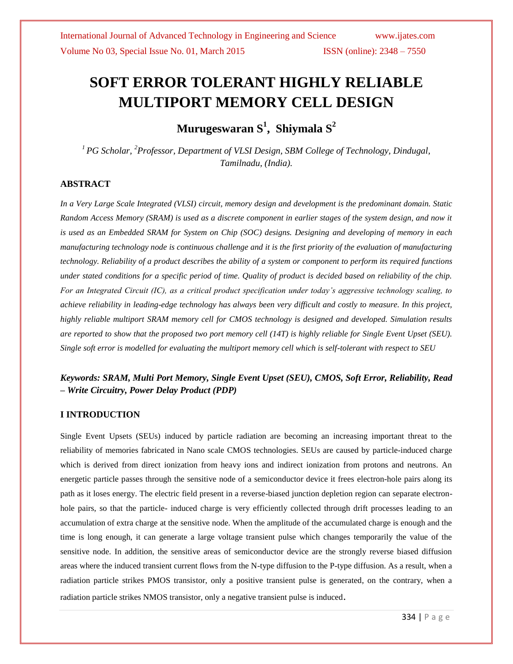# **SOFT ERROR TOLERANT HIGHLY RELIABLE MULTIPORT MEMORY CELL DESIGN**

**Murugeswaran S<sup>1</sup> , Shiymala S<sup>2</sup>**

*<sup>1</sup>PG Scholar, <sup>2</sup>Professor, Department of VLSI Design, SBM College of Technology, Dindugal, Tamilnadu, (India).*

#### **ABSTRACT**

*In a Very Large Scale Integrated (VLSI) circuit, memory design and development is the predominant domain. Static Random Access Memory (SRAM) is used as a discrete component in earlier stages of the system design, and now it is used as an Embedded SRAM for System on Chip (SOC) designs. Designing and developing of memory in each manufacturing technology node is continuous challenge and it is the first priority of the evaluation of manufacturing technology. Reliability of a product describes the ability of a system or component to perform its required functions under stated conditions for a specific period of time. Quality of product is decided based on reliability of the chip. For an Integrated Circuit (IC), as a critical product specification under today's aggressive technology scaling, to achieve reliability in leading-edge technology has always been very difficult and costly to measure. In this project, highly reliable multiport SRAM memory cell for CMOS technology is designed and developed. Simulation results are reported to show that the proposed two port memory cell (14T) is highly reliable for Single Event Upset (SEU). Single soft error is modelled for evaluating the multiport memory cell which is self-tolerant with respect to SEU*

### *Keywords: SRAM, Multi Port Memory, Single Event Upset (SEU), CMOS, Soft Error, Reliability, Read – Write Circuitry, Power Delay Product (PDP)*

### **I INTRODUCTION**

Single Event Upsets (SEUs) induced by particle radiation are becoming an increasing important threat to the reliability of memories fabricated in Nano scale CMOS technologies. SEUs are caused by particle-induced charge which is derived from direct ionization from heavy ions and indirect ionization from protons and neutrons. An energetic particle passes through the sensitive node of a semiconductor device it frees electron-hole pairs along its path as it loses energy. The electric field present in a reverse-biased junction depletion region can separate electronhole pairs, so that the particle- induced charge is very efficiently collected through drift processes leading to an accumulation of extra charge at the sensitive node. When the amplitude of the accumulated charge is enough and the time is long enough, it can generate a large voltage transient pulse which changes temporarily the value of the sensitive node. In addition, the sensitive areas of semiconductor device are the strongly reverse biased diffusion areas where the induced transient current flows from the N-type diffusion to the P-type diffusion. As a result, when a radiation particle strikes PMOS transistor, only a positive transient pulse is generated, on the contrary, when a radiation particle strikes NMOS transistor, only a negative transient pulse is induced.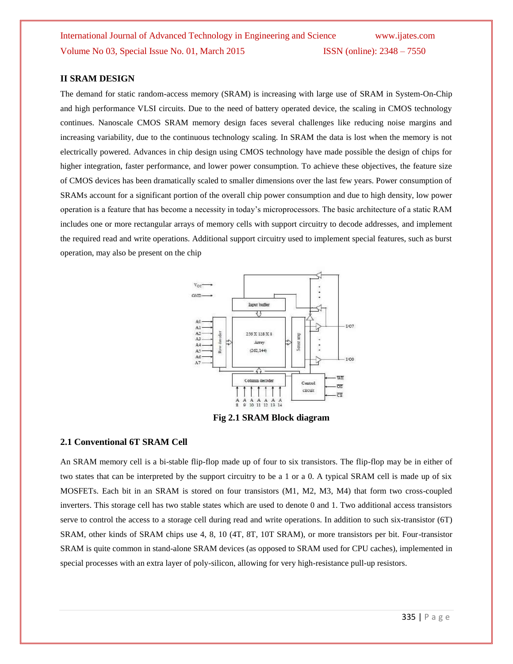#### **II SRAM DESIGN**

The demand for static random-access memory (SRAM) is increasing with large use of SRAM in System-On-Chip and high performance VLSI circuits. Due to the need of battery operated device, the scaling in CMOS technology continues. Nanoscale CMOS SRAM memory design faces several challenges like reducing noise margins and increasing variability, due to the continuous technology scaling. In SRAM the data is lost when the memory is not electrically powered. Advances in chip design using CMOS technology have made possible the design of chips for higher integration, faster performance, and lower power consumption. To achieve these objectives, the feature size of CMOS devices has been dramatically scaled to smaller dimensions over the last few years. Power consumption of SRAMs account for a significant portion of the overall chip power consumption and due to high density, low power operation is a feature that has become a necessity in today's microprocessors. The basic architecture of a static RAM includes one or more rectangular arrays of memory cells with support circuitry to decode addresses, and implement the required read and write operations. Additional support circuitry used to implement special features, such as burst operation, may also be present on the chip



**Fig 2.1 SRAM Block diagram**

#### **2.1 Conventional 6T SRAM Cell**

An SRAM memory cell is a bi-stable flip-flop made up of four to six transistors. The flip-flop may be in either of two states that can be interpreted by the support circuitry to be a 1 or a 0. A typical SRAM cell is made up of six MOSFETs. Each bit in an SRAM is stored on four transistors (M1, M2, M3, M4) that form two cross-coupled inverters. This storage cell has two stable states which are used to denote 0 and 1. Two additional access transistors serve to control the access to a storage cell during read and write operations. In addition to such six-transistor (6T) SRAM, other kinds of SRAM chips use 4, 8, 10 (4T, 8T, 10T SRAM), or more transistors per bit. Four-transistor SRAM is quite common in stand-alone SRAM devices (as opposed to SRAM used for CPU caches), implemented in special processes with an extra layer of poly-silicon, allowing for very high-resistance pull-up resistors.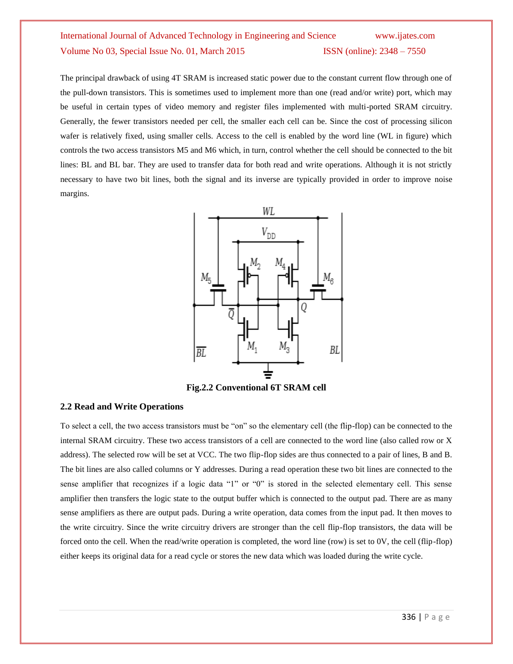The principal drawback of using 4T SRAM is increased static power due to the constant current flow through one of the pull-down transistors. This is sometimes used to implement more than one (read and/or write) port, which may be useful in certain types of video memory and register files implemented with multi-ported SRAM circuitry. Generally, the fewer transistors needed per cell, the smaller each cell can be. Since the cost of processing silicon wafer is relatively fixed, using smaller cells. Access to the cell is enabled by the word line (WL in figure) which controls the two access transistors M5 and M6 which, in turn, control whether the cell should be connected to the bit lines: BL and BL bar. They are used to transfer data for both read and write operations. Although it is not strictly necessary to have two bit lines, both the signal and its inverse are typically provided in order to improve noise margins.



**Fig.2.2 Conventional 6T SRAM cell**

#### **2.2 Read and Write Operations**

To select a cell, the two access transistors must be "on" so the elementary cell (the flip-flop) can be connected to the internal SRAM circuitry. These two access transistors of a cell are connected to the word line (also called row or X address). The selected row will be set at VCC. The two flip-flop sides are thus connected to a pair of lines, B and B. The bit lines are also called columns or Y addresses. During a read operation these two bit lines are connected to the sense amplifier that recognizes if a logic data "1" or "0" is stored in the selected elementary cell. This sense amplifier then transfers the logic state to the output buffer which is connected to the output pad. There are as many sense amplifiers as there are output pads. During a write operation, data comes from the input pad. It then moves to the write circuitry. Since the write circuitry drivers are stronger than the cell flip-flop transistors, the data will be forced onto the cell. When the read/write operation is completed, the word line (row) is set to 0V, the cell (flip-flop) either keeps its original data for a read cycle or stores the new data which was loaded during the write cycle.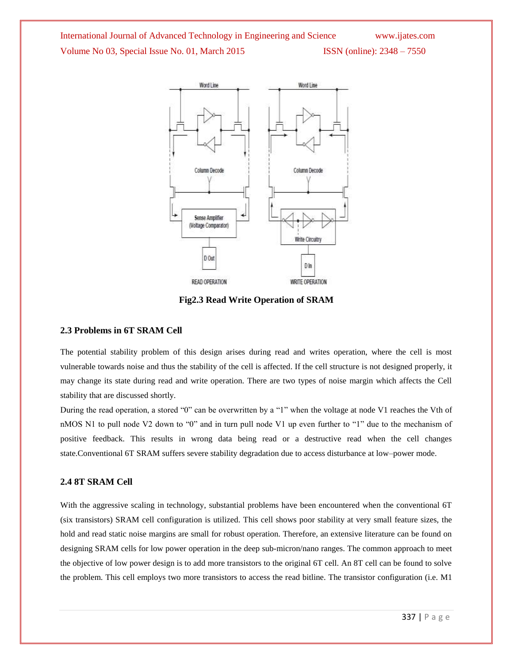

**Fig2.3 Read Write Operation of SRAM**

#### **2.3 Problems in 6T SRAM Cell**

The potential stability problem of this design arises during read and writes operation, where the cell is most vulnerable towards noise and thus the stability of the cell is affected. If the cell structure is not designed properly, it may change its state during read and write operation. There are two types of noise margin which affects the Cell stability that are discussed shortly.

During the read operation, a stored "0" can be overwritten by a "1" when the voltage at node V1 reaches the Vth of nMOS N1 to pull node V2 down to "0" and in turn pull node V1 up even further to "1" due to the mechanism of positive feedback. This results in wrong data being read or a destructive read when the cell changes state.Conventional 6T SRAM suffers severe stability degradation due to access disturbance at low–power mode.

#### **2.4 8T SRAM Cell**

With the aggressive scaling in technology, substantial problems have been encountered when the conventional 6T (six transistors) SRAM cell configuration is utilized. This cell shows poor stability at very small feature sizes, the hold and read static noise margins are small for robust operation. Therefore, an extensive literature can be found on designing SRAM cells for low power operation in the deep sub-micron/nano ranges. The common approach to meet the objective of low power design is to add more transistors to the original 6T cell. An 8T cell can be found to solve the problem. This cell employs two more transistors to access the read bitline. The transistor configuration (i.e. M1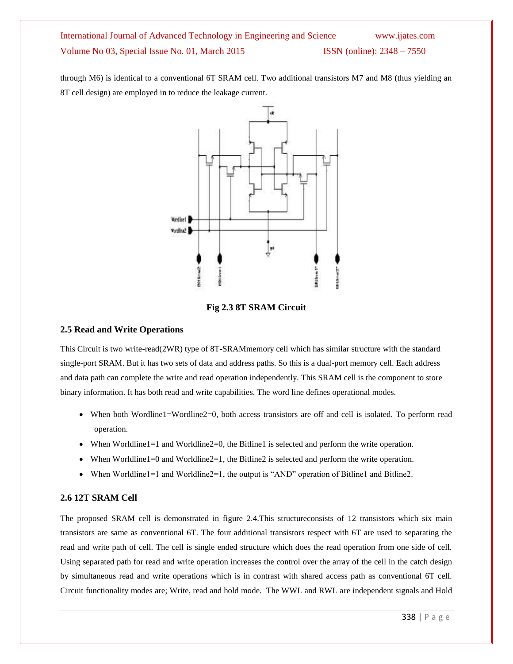through M6) is identical to a conventional 6T SRAM cell. Two additional transistors M7 and M8 (thus yielding an 8T cell design) are employed in to reduce the leakage current.



**Fig 2.3 8T SRAM Circuit**

#### **2.5 Read and Write Operations**

This Circuit is two write-read(2WR) type of 8T-SRAMmemory cell which has similar structure with the standard single-port SRAM. But it has two sets of data and address paths. So this is a dual-port memory cell. Each address and data path can complete the write and read operation independently. This SRAM cell is the component to store binary information. It has both read and write capabilities. The word line defines operational modes.

- When both Wordline1=Wordline2=0, both access transistors are off and cell is isolated. To perform read operation.
- When Worldline1=1 and Worldline2=0, the Bitline1 is selected and perform the write operation.
- When Worldline1=0 and Worldline2=1, the Bitline2 is selected and perform the write operation.
- When Worldline1=1 and Worldline2=1, the output is "AND" operation of Bitline1 and Bitline2.

### **2.6 12T SRAM Cell**

The proposed SRAM cell is demonstrated in figure 2.4.This structureconsists of 12 transistors which six main transistors are same as conventional 6T. The four additional transistors respect with 6T are used to separating the read and write path of cell. The cell is single ended structure which does the read operation from one side of cell. Using separated path for read and write operation increases the control over the array of the cell in the catch design by simultaneous read and write operations which is in contrast with shared access path as conventional 6T cell. Circuit functionality modes are; Write, read and hold mode. The WWL and RWL are independent signals and Hold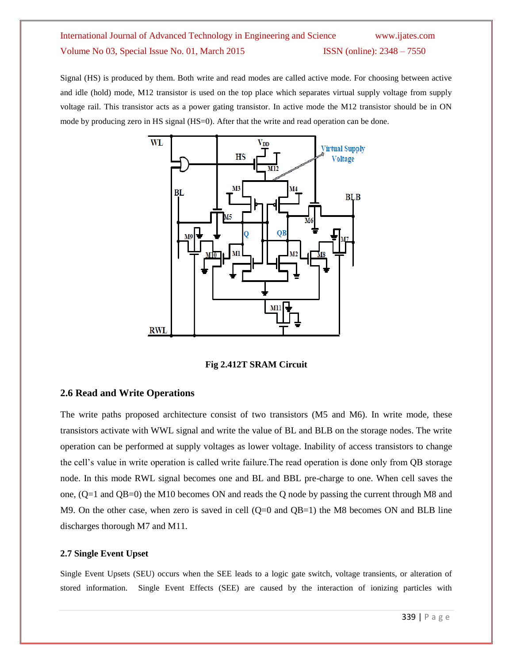Signal (HS) is produced by them. Both write and read modes are called active mode. For choosing between active and idle (hold) mode, M12 transistor is used on the top place which separates virtual supply voltage from supply voltage rail. This transistor acts as a power gating transistor. In active mode the M12 transistor should be in ON mode by producing zero in HS signal (HS=0). After that the write and read operation can be done.



**Fig 2.412T SRAM Circuit**

### **2.6 Read and Write Operations**

The write paths proposed architecture consist of two transistors (M5 and M6). In write mode, these transistors activate with WWL signal and write the value of BL and BLB on the storage nodes. The write operation can be performed at supply voltages as lower voltage. Inability of access transistors to change the cell's value in write operation is called write failure.The read operation is done only from QB storage node. In this mode RWL signal becomes one and BL and BBL pre-charge to one. When cell saves the one, (Q=1 and QB=0) the M10 becomes ON and reads the Q node by passing the current through M8 and M9. On the other case, when zero is saved in cell  $(Q=0 \text{ and } QB=1)$  the M8 becomes ON and BLB line discharges thorough M7 and M11.

#### **2.7 Single Event Upset**

Single Event Upsets (SEU) occurs when the SEE leads to a logic gate switch, voltage transients, or alteration of stored information. Single Event Effects (SEE) are caused by the interaction of ionizing particles with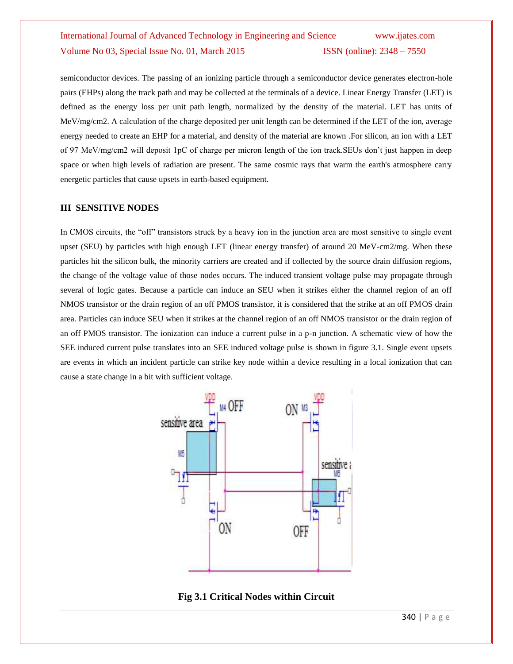semiconductor devices. The passing of an ionizing particle through a semiconductor device generates electron-hole pairs (EHPs) along the track path and may be collected at the terminals of a device. Linear Energy Transfer (LET) is defined as the energy loss per unit path length, normalized by the density of the material. LET has units of MeV/mg/cm2. A calculation of the charge deposited per unit length can be determined if the LET of the ion, average energy needed to create an EHP for a material, and density of the material are known .For silicon, an ion with a LET of 97 MeV/mg/cm2 will deposit 1pC of charge per micron length of the ion track.SEUs don't just happen in deep space or when high levels of radiation are present. The same cosmic rays that warm the earth's atmosphere carry energetic particles that cause upsets in earth-based equipment.

#### **III SENSITIVE NODES**

In CMOS circuits, the "off" transistors struck by a heavy ion in the junction area are most sensitive to single event upset (SEU) by particles with high enough LET (linear energy transfer) of around 20 MeV-cm2/mg. When these particles hit the silicon bulk, the minority carriers are created and if collected by the source drain diffusion regions, the change of the voltage value of those nodes occurs. The induced transient voltage pulse may propagate through several of logic gates. Because a particle can induce an SEU when it strikes either the channel region of an off NMOS transistor or the drain region of an off PMOS transistor, it is considered that the strike at an off PMOS drain area. Particles can induce SEU when it strikes at the channel region of an off NMOS transistor or the drain region of an off PMOS transistor. The ionization can induce a current pulse in a p-n junction. A schematic view of how the SEE induced current pulse translates into an SEE induced voltage pulse is shown in figure 3.1. Single event upsets are events in which an incident particle can strike key node within a device resulting in a local ionization that can cause a state change in a bit with sufficient voltage.



**Fig 3.1 Critical Nodes within Circuit**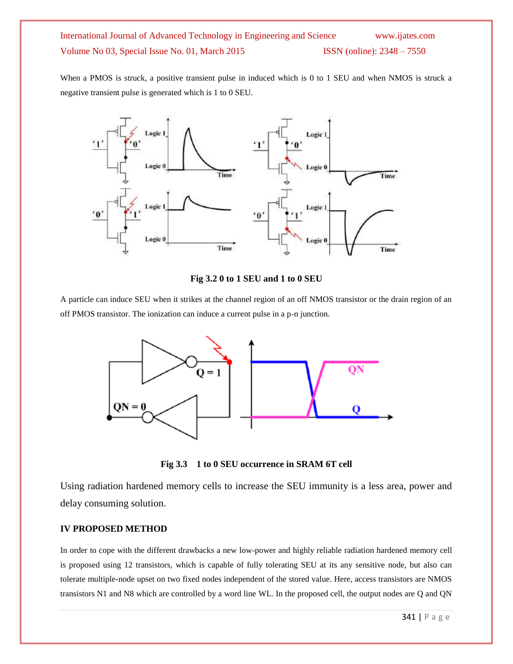When a PMOS is struck, a positive transient pulse in induced which is 0 to 1 SEU and when NMOS is struck a negative transient pulse is generated which is 1 to 0 SEU.



**Fig 3.2 0 to 1 SEU and 1 to 0 SEU**

A particle can induce SEU when it strikes at the channel region of an off NMOS transistor or the drain region of an off PMOS transistor. The ionization can induce a current pulse in a p-n junction.



**Fig 3.3 1 to 0 SEU occurrence in SRAM 6T cell**

Using radiation hardened memory cells to increase the SEU immunity is a less area, power and delay consuming solution.

### **IV PROPOSED METHOD**

In order to cope with the different drawbacks a new low-power and highly reliable radiation hardened memory cell is proposed using 12 transistors, which is capable of fully tolerating SEU at its any sensitive node, but also can tolerate multiple-node upset on two fixed nodes independent of the stored value. Here, access transistors are NMOS transistors N1 and N8 which are controlled by a word line WL. In the proposed cell, the output nodes are Q and QN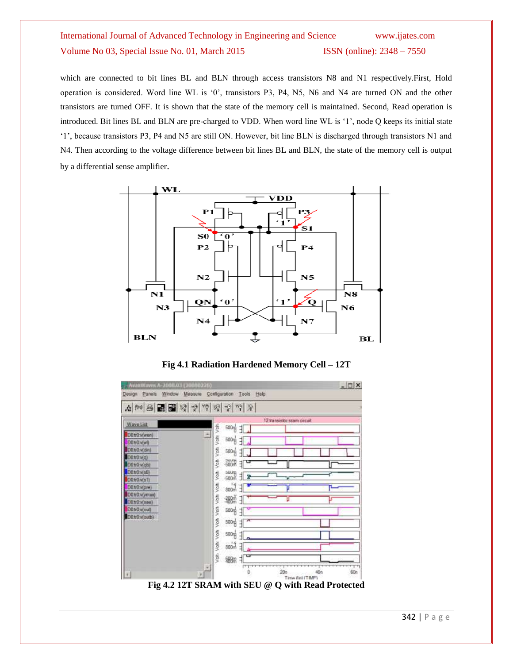which are connected to bit lines BL and BLN through access transistors N8 and N1 respectively.First, Hold operation is considered. Word line WL is ‗0', transistors P3, P4, N5, N6 and N4 are turned ON and the other transistors are turned OFF. It is shown that the state of the memory cell is maintained. Second, Read operation is introduced. Bit lines BL and BLN are pre-charged to VDD. When word line WL is ‗1', node Q keeps its initial state ‗1', because transistors P3, P4 and N5 are still ON. However, bit line BLN is discharged through transistors N1 and N4. Then according to the voltage difference between bit lines BL and BLN, the state of the memory cell is output by a differential sense amplifier.



**Fig 4.1 Radiation Hardened Memory Cell – 12T**

|                | A H 용대물 및 수 백 및 수 백 호                            |
|----------------|--------------------------------------------------|
| Waye List      | 12 transistor sram circuit                       |
| D0tr0v(wen)    | Volt Volt<br>500명 대                              |
| D0:00:V(w)     | 500 <sub>0</sub><br>궤                            |
| D0.00 vidin)   | Von<br>$500 + 7$                                 |
| (p)v 0tt 0O    |                                                  |
| D0 tr0 v(qb)   | Volt.<br>$-600$ $\frac{1}{2}$ $\frac{1}{2}$<br>U |
| D0tr0v(o0)     | yatı<br>$-600$ $+2$                              |
| D0:00:v(s1)    |                                                  |
| D0.tr0v(pre)   | yan<br>$300 - 7$                                 |
| D0 tr0 v(ymux) | Volti<br>38篇 3                                   |
| Dütrüv(see)    |                                                  |
| (ho)v(brd)     | Vott-<br>500성 귀                                  |
| D0tr0woutb)    | yon,<br>$500 + 1^{\circ}$                        |
|                | 500g 引                                           |
|                | Volk Volt<br>$E$ $h$ 008                         |
|                | Volt.<br>ᇦ<br>%服                                 |

**Fig 4.2 12T SRAM with SEU @ Q with Read Protected**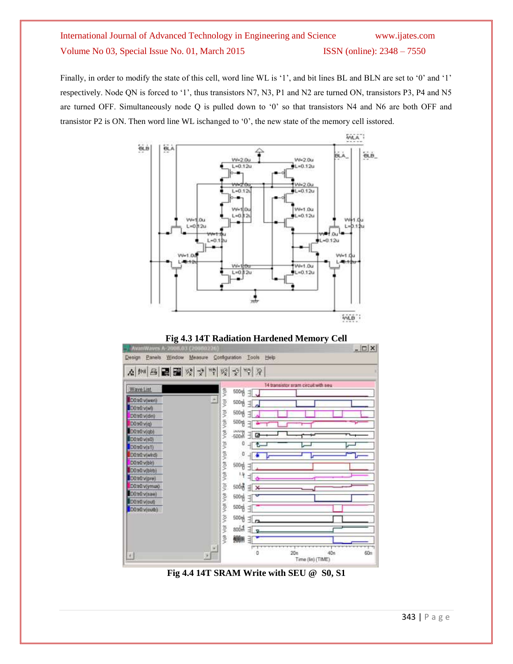Finally, in order to modify the state of this cell, word line WL is '1', and bit lines BL and BLN are set to '0' and '1' respectively. Node QN is forced to '1', thus transistors N7, N3, P1 and N2 are turned ON, transistors P3, P4 and N5 are turned OFF. Simultaneously node Q is pulled down to '0' so that transistors N4 and N6 are both OFF and transistor P2 is ON. Then word line WL ischanged to  $0'$ , the new state of the memory cell isstored.







**Fig 4.4 14T SRAM Write with SEU @ S0, S1**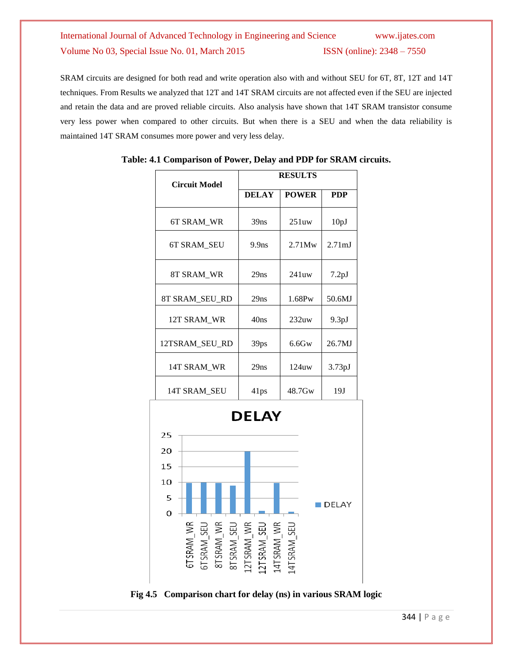SRAM circuits are designed for both read and write operation also with and without SEU for 6T, 8T, 12T and 14T techniques. From Results we analyzed that 12T and 14T SRAM circuits are not affected even if the SEU are injected and retain the data and are proved reliable circuits. Also analysis have shown that 14T SRAM transistor consume very less power when compared to other circuits. But when there is a SEU and when the data reliability is maintained 14T SRAM consumes more power and very less delay.

| <b>Circuit Model</b>                         | <b>RESULTS</b> |              |                    |  |
|----------------------------------------------|----------------|--------------|--------------------|--|
|                                              | <b>DELAY</b>   | <b>POWER</b> | <b>PDP</b>         |  |
| 6T SRAM_WR                                   | 39ns           | 251uw        | 10pJ               |  |
| 6T SRAM_SEU                                  | 9.9ns          | 2.71Mw       | 2.71 <sub>mJ</sub> |  |
| 8T SRAM_WR                                   | 29ns           | 241uw        | 7.2 <sub>pJ</sub>  |  |
| 8T SRAM SEU RD                               | 29ns           | 1.68Pw       | 50.6MJ             |  |
| 12T SRAM_WR                                  | 40ns           | 232uw        | 9.3 <sub>pJ</sub>  |  |
| 12TSRAM_SEU_RD                               | 39ps           | $6.6$ Gw     | 26.7MJ             |  |
| 14T SRAM_WR                                  | 29ns           | 124uw        | 3.73pJ             |  |
| 14T SRAM_SEU                                 | 41ps           | 48.7Gw       | 19J                |  |
| <b>DELAY</b>                                 |                |              |                    |  |
| 25                                           |                |              |                    |  |
| 20                                           |                |              |                    |  |
| 15                                           |                |              |                    |  |
| 10                                           |                |              |                    |  |
| 5                                            |                |              | DELAY              |  |
| 0                                            |                |              |                    |  |
| 6TSRAM WR<br>RAM_WR<br>TSRAM_WR<br>TSRAM_SEU |                |              |                    |  |

### **Table: 4.1 Comparison of Power, Delay and PDP for SRAM circuits.**

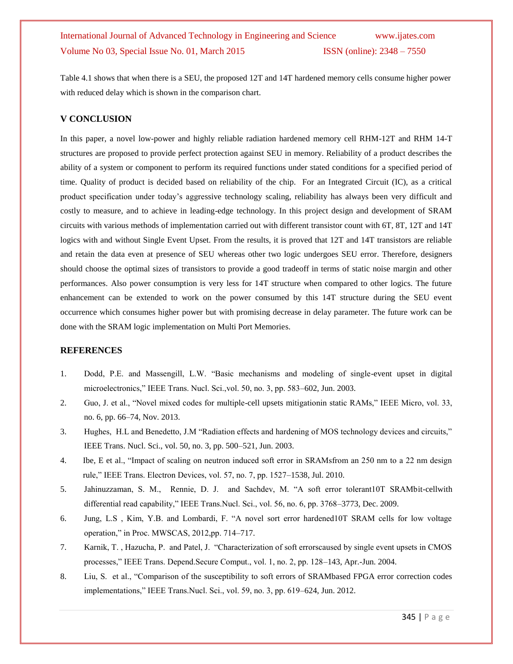Table 4.1 shows that when there is a SEU, the proposed 12T and 14T hardened memory cells consume higher power with reduced delay which is shown in the comparison chart.

#### **V CONCLUSION**

In this paper, a novel low-power and highly reliable radiation hardened memory cell RHM-12T and RHM 14-T structures are proposed to provide perfect protection against SEU in memory. Reliability of a product describes the ability of a system or component to perform its required functions under stated conditions for a specified period of time. Quality of product is decided based on reliability of the chip. For an Integrated Circuit (IC), as a critical product specification under today's aggressive technology scaling, reliability has always been very difficult and costly to measure, and to achieve in leading-edge technology. In this project design and development of SRAM circuits with various methods of implementation carried out with different transistor count with 6T, 8T, 12T and 14T logics with and without Single Event Upset. From the results, it is proved that 12T and 14T transistors are reliable and retain the data even at presence of SEU whereas other two logic undergoes SEU error. Therefore, designers should choose the optimal sizes of transistors to provide a good tradeoff in terms of static noise margin and other performances. Also power consumption is very less for 14T structure when compared to other logics. The future enhancement can be extended to work on the power consumed by this 14T structure during the SEU event occurrence which consumes higher power but with promising decrease in delay parameter. The future work can be done with the SRAM logic implementation on Multi Port Memories.

### **REFERENCES**

- 1. Dodd, P.E. and Massengill, L.W. "Basic mechanisms and modeling of single-event upset in digital microelectronics," IEEE Trans. Nucl. Sci., vol. 50, no. 3, pp. 583–602, Jun. 2003.
- 2. Guo, J. et al., "Novel mixed codes for multiple-cell upsets mitigationin static RAMs," IEEE Micro, vol. 33, no. 6, pp. 66–74, Nov. 2013.
- 3. Hughes, H.L and Benedetto, J.M "Radiation effects and hardening of MOS technology devices and circuits," IEEE Trans. Nucl. Sci., vol. 50, no. 3, pp. 500–521, Jun. 2003.
- 4. Ibe, E et al., "Impact of scaling on neutron induced soft error in SRAMsfrom an 250 nm to a 22 nm design rule," IEEE Trans. Electron Devices, vol. 57, no. 7, pp. 1527–1538, Jul. 2010.
- 5. Jahinuzzaman, S. M., Rennie, D. J. and Sachdev, M. "A soft error tolerant10T SRAMbit-cellwith differential read capability," IEEE Trans. Nucl. Sci., vol. 56, no. 6, pp. 3768–3773, Dec. 2009.
- 6. Jung, L.S., Kim, Y.B. and Lombardi, F. "A novel sort error hardened 10T SRAM cells for low voltage operation," in Proc. MWSCAS, 2012,pp. 714–717.
- 7. Karnik, T., Hazucha, P. and Patel, J. "Characterization of soft errorscaused by single event upsets in CMOS processes," IEEE Trans. Depend.Secure Comput., vol. 1, no. 2, pp. 128–143, Apr.-Jun. 2004.
- 8. Liu, S. et al., "Comparison of the susceptibility to soft errors of SRAMbased FPGA error correction codes implementations," IEEE Trans.Nucl. Sci., vol. 59, no. 3, pp. 619–624, Jun. 2012.